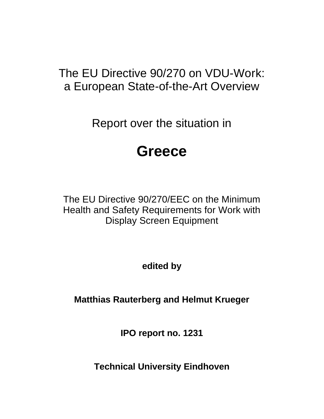# The EU Directive 90/270 on VDU-Work: a European State-of-the-Art Overview

Report over the situation in

# **Greece**

The EU Directive 90/270/EEC on the Minimum Health and Safety Requirements for Work with Display Screen Equipment

**edited by**

**Matthias Rauterberg and Helmut Krueger**

**IPO report no. 1231**

**Technical University Eindhoven**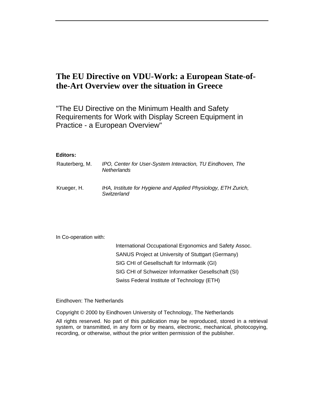## **The EU Directive on VDU-Work: a European State-ofthe-Art Overview over the situation in Greece**

"The EU Directive on the Minimum Health and Safety Requirements for Work with Display Screen Equipment in Practice - a European Overview"

#### **Editors:**

| Rauterberg, M. | IPO, Center for User-System Interaction, TU Eindhoven, The<br><b>Netherlands</b> |
|----------------|----------------------------------------------------------------------------------|
| Krueger, H.    | IHA, Institute for Hygiene and Applied Physiology, ETH Zurich,<br>Switzerland    |

In Co-operation with:

| International Occupational Ergonomics and Safety Assoc. |
|---------------------------------------------------------|
| SANUS Project at University of Stuttgart (Germany)      |
| SIG CHI of Gesellschaft für Informatik (GI)             |
| SIG CHI of Schweizer Informatiker Gesellschaft (SI)     |
| Swiss Federal Institute of Technology (ETH)             |

Eindhoven: The Netherlands

Copyright © 2000 by Eindhoven University of Technology, The Netherlands

All rights reserved. No part of this publication may be reproduced, stored in a retrieval system, or transmitted, in any form or by means, electronic, mechanical, photocopying, recording, or otherwise, without the prior written permission of the publisher.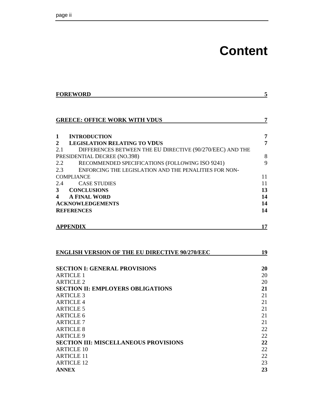# **Content**

|                | <b>FOREWORD</b>                                           |                |  |
|----------------|-----------------------------------------------------------|----------------|--|
|                |                                                           |                |  |
|                | <b>GREECE: OFFICE WORK WITH VDUS</b>                      |                |  |
| 1              | <b>INTRODUCTION</b>                                       | $\overline{7}$ |  |
| $\mathbf{2}$   | <b>LEGISLATION RELATING TO VDUS</b>                       | $\overline{7}$ |  |
| 2.1            | DIFFERENCES BETWEEN THE EU DIRECTIVE (90/270/EEC) AND THE |                |  |
|                | PRESIDENTIAL DECREE (NO.398)                              | $8\,$          |  |
| 2.2            | RECOMMENDED SPECIFICATIONS (FOLLOWING ISO 9241)           | 9              |  |
| 2.3            | ENFORCING THE LEGISLATION AND THE PENALITIES FOR NON-     |                |  |
|                | <b>COMPLIANCE</b>                                         | 11             |  |
| 2.4            | <b>CASE STUDIES</b>                                       | 11             |  |
| 3 <sup>1</sup> | <b>CONCLUSIONS</b>                                        | 13             |  |
| 4              | <b>A FINAL WORD</b>                                       | 14             |  |
|                | <b>ACKNOWLEDGEMENTS</b>                                   | 14             |  |
|                | <b>REFERENCES</b>                                         | 14             |  |
|                | <b>APPENDIX</b>                                           | 17             |  |
|                |                                                           |                |  |
|                |                                                           |                |  |
|                | <b>ENGLISH VERSION OF THE EU DIRECTIVE 90/270/EEC</b>     | 19             |  |
|                | <b>SECTION I: GENERAL PROVISIONS</b>                      | 20             |  |
|                | <b>ARTICLE 1</b>                                          | 20             |  |
|                | <b>ARTICLE 2</b>                                          | 20             |  |
|                | <b>SECTION II: EMPLOYERS OBLIGATIONS</b>                  | 21             |  |
|                | <b>ARTICLE 3</b>                                          | 21             |  |
|                | <b>ARTICLE 4</b>                                          | 21             |  |
|                | <b>ARTICLE 5</b>                                          | 21             |  |
|                | <b>ARTICLE 6</b>                                          | 21             |  |
|                | <b>ARTICLE 7</b>                                          | 21             |  |
|                | <b>ARTICLE 8</b>                                          | 22             |  |
|                | <b>ARTICLE 9</b>                                          | 22             |  |
|                | <b>SECTION III: MISCELLANEOUS PROVISIONS</b>              | 22             |  |
|                | <b>ARTICLE 10</b>                                         | 22             |  |
|                | <b>ARTICLE 11</b>                                         | 22             |  |
|                | <b>ARTICLE 12</b>                                         | 23             |  |
|                | <b>ANNEX</b>                                              | 23             |  |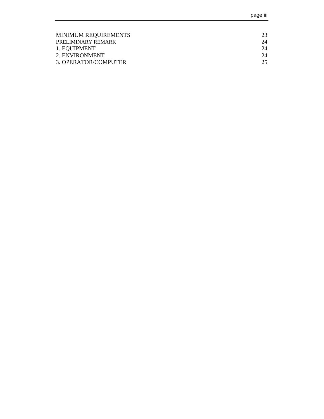| <b>MINIMUM REQUIREMENTS</b> | 23 |
|-----------------------------|----|
| <b>PRELIMINARY REMARK</b>   | 24 |
| 1. EQUIPMENT                | 24 |
| 2. ENVIRONMENT              | 24 |
| 3. OPERATOR/COMPUTER        | 25 |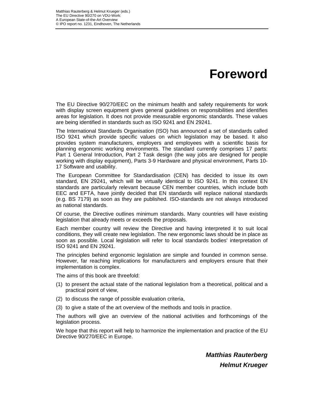# **Foreword**

The EU Directive 90/270/EEC on the minimum health and safety requirements for work with display screen equipment gives general guidelines on responsibilities and identifies areas for legislation. It does not provide measurable ergonomic standards. These values are being identified in standards such as ISO 9241 and EN 29241.

The International Standards Organisation (ISO) has announced a set of standards called ISO 9241 which provide specific values on which legislation may be based. It also provides system manufacturers, employers and employees with a scientific basis for planning ergonomic working environments. The standard currently comprises 17 parts: Part 1 General Introduction, Part 2 Task design (the way jobs are designed for people working with display equipment), Parts 3-9 Hardware and physical environment, Parts 10- 17 Software and usability.

The European Committee for Standardisation (CEN) has decided to issue its own standard, EN 29241, which will be virtually identical to ISO 9241. In this context EN standards are particularly relevant because CEN member countries, which include both EEC and EFTA, have jointly decided that EN standards will replace national standards (e.g. BS 7179) as soon as they are published. ISO-standards are not always introduced as national standards.

Of course, the Directive outlines minimum standards. Many countries will have existing legislation that already meets or exceeds the proposals.

Each member country will review the Directive and having interpreted it to suit local conditions, they will create new legislation. The new ergonomic laws should be in place as soon as possible. Local legislation will refer to local standards bodies' interpretation of ISO 9241 and EN 29241.

The principles behind ergonomic legislation are simple and founded in common sense. However, far reaching implications for manufacturers and employers ensure that their implementation is complex.

The aims of this book are threefold:

- (1) to present the actual state of the national legislation from a theoretical, political and a practical point of view,
- (2) to discuss the range of possible evaluation criteria,
- (3) to give a state of the art overview of the methods and tools in practice.

The authors will give an overview of the national activities and forthcomings of the legislation process.

We hope that this report will help to harmonize the implementation and practice of the EU Directive 90/270/EEC in Europe.

> *Matthias Rauterberg Helmut Krueger*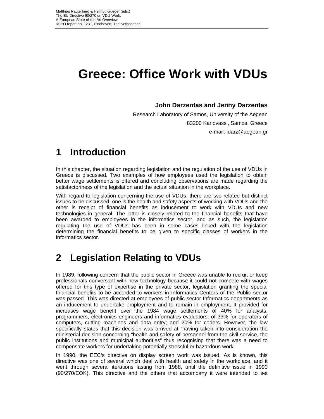# **Greece: Office Work with VDUs**

#### **John Darzentas and Jenny Darzentas**

Research Laboratory of Samos, University of the Aegean 83200 Karlovassi, Samos, Greece e-mail: idarz@aegean.gr

## **1 Introduction**

In this chapter, the situation regarding legislation and the regulation of the use of VDUs in Greece is discussed. Two examples of how employees used the legislation to obtain better wage settlements is offered and concluding observations are made regarding the satisfactoriness of the legislation and the actual situation in the workplace.

With regard to legislation concerning the use of VDUs, there are two related but distinct issues to be discussed, one is the health and safety aspects of working with VDUs and the other is receipt of financial benefits as inducement to work with VDUs and new technologies in general. The latter is closely related to the financial benefits that have been awarded to employees in the informatics sector, and as such, the legislation regulating the use of VDUs has been in some cases linked with the legislation determining the financial benefits to be given to specific classes of workers in the informatics sector.

## **2 Legislation Relating to VDUs**

In 1989, following concern that the public sector in Greece was unable to recruit or keep professionals conversant with new technology because it could not compete with wages offered for this type of expertise in the private sector, legislation granting the special financial benefits to be accorded to workers in Informatics Centers of the Public sector was passed*.* This was directed at employees of public sector Informatics departments as an inducement to undertake employment and to remain in employment. It provided for increases wage benefit over the 1984 wage settlements of 40% for analysts, programmers, electronics engineers and informatics evaluators; of 33% for operators of computers, cutting machines and data entry; and 20% for coders. However, the law specifically states that this decision was arrived at "having taken into consideration the ministerial decision concerning "health and safety of personnel from the civil service, the public institutions and municipal authorities" thus recognising that there was a need to compensate workers for undertaking potentially stressful or hazardous work.

In 1990, the EEC's directive on display screen work was issued. As is known, this directive was one of several which deal with health and safety in the workplace, and it went through several iterations lasting from 1988, until the definitive issue in 1990 (90/270/EOK). This directive and the others that accompany it were intended to set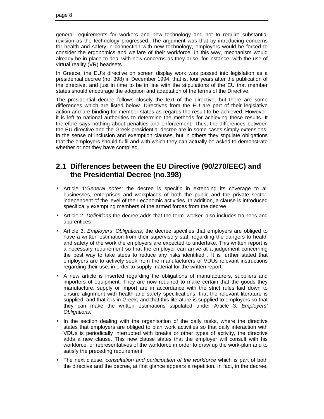general requirements for workers and new technology and not to require substantial revision as the technology progressed. The argument was that by introducing concerns for health and safety in connection with new technology, employers would be forced to consider the ergonomics and welfare of their workforce. In this way, mechanism would already be in place to deal with new concerns as they arise, for instance, with the use of virtual reality (VR) headsets.

In Greece, the EU's directive on screen display work was passed into legislation as a presidential decree (no. 398) in December 1994, that is, four years after the publication of the directive, and just in time to be in line with the stipulations of the EU that member states should encourage the adoption and adaptation of the terms of the Directive.

The presidential decree follows closely the text of the directive, but there are some differences which are listed below. Directives from the EU are part of their legislative action and are binding for member states as regards the result to be achieved. However, it is left to national authorities to determine the methods for achieving these results. It therefore says nothing about penalties and enforcement. Thus, the differences between the EU directive and the Greek presidential decree are in some cases simply extensions, in the sense of inclusion and exemption clauses, but in others they stipulate obligations that the employers should fulfil and with which they can actually be asked to demonstrate whether or not they have complied.

### **2.1 Differences between the EU Directive (90/270/EEC) and the Presidential Decree (no.398)**

- Article 1:*General notes*: the decree is specific in extending its coverage to all businesses, enterprises and workplaces of both the public and the private sector, independent of the level of their economic activities. In addition, a clause is introduced specifically exempting members of the armed forces from the decree
- Article 2: *Definitions* the decree adds that the term, worker' also includes trainees and apprentices
- Article 3: *Employers' Obligations*, the decree specifies that employers are obliged to have a written estimation from their supervisory staff regarding the dangers to health and safety of the work the employers are expected to undertake. This written report is a necessary requirement so that the employer can arrive at a judgement concerning the best way to take steps to reduce any risks identified . It is further stated that employers are to actively seek from the manufacturers of VDUs relevant instructions regarding their use, in order to supply material for the written report.
- *·* A new article is inserted regarding the obligations of manufacturers, suppliers and importers of equipment. They are now required to make certain that the goods they manufacture, supply or import are in accordance with the strict rules laid down to ensure alignment with health and safety specifications; that the relevant literature is supplied, and that it is in Greek; and that this literature is supplied to employers so that they can make the written estimations stipulated under Article 3, *Employers' Obligations.*
- In the section dealing with the organisation of the daily tasks, where the directive states that employers are obliged to plan work activities so that daily interaction with VDUs is periodically interrupted with breaks or other types of activity, the directive adds a new clause. This new clause states that the employer will consult with his workforce, or representatives of the workforce in order to draw up the work-plan and to satisfy the preceding requirement.
- The next clause, *consultation and participation of the workforce* which is part of both the directive and the decree, at first glance appears a repetition. In fact, in the decree,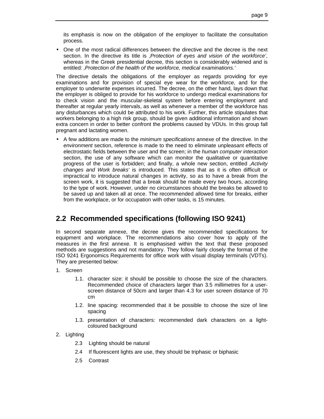its emphasis is now on the obligation of the employer to facilitate the consultation process.

*·* One of the most radical differences between the directive and the decree is the next section. In the directive its title is '*Protection of eyes and vision of the workforce'*, whereas in the Greek presidential decree, this section is considerably widened and is entitled: *,Protection of the health of the workforce, medical examinations.'* 

The directive details the obligations of the employer as regards providing for eye examinations and for provision of special eye wear for the workforce, and for the employer to underwrite expenses incurred. The decree, on the other hand, lays down that the employer is obliged to provide for his workforce to undergo medical examinations for to check vision and the muscular-skeletal system before entering employment and thereafter at regular yearly intervals, as well as whenever a member of the workforce has any disturbances which could be attributed to his work. Further, this article stipulates that workers belonging to a high risk group, should be given additional information and shown extra concern in order to better confront the problems caused by VDUs. In this group fall pregnant and lactating women.

*·* A few additions are made to the *minimum specifications* annexe of the directive. In the *environment* section, reference is made to the need to eliminate unpleasant effects of electrostatic fields between the user and the screen; in the *human computer interaction* section, the use of any software which can monitor the qualitative or quantitative progress of the user is forbidden; and finally, a whole new section, entitled *'Activity changes and Work breaks'* is introduced. This states that as it is often difficult or impractical to introduce natural changes in activity, so as to have a break from the screen work, it is suggested that a break should be made every two hours, according to the type of work. However, under no circumstances should the breaks be allowed to be saved up and taken all at once. The recommended allowed time for breaks, either from the workplace, or for occupation with other tasks, is 15 minutes.

## **2.2 Recommended specifications (following ISO 9241)**

In second separate annexe, the decree gives the recommended specifications for equipment and workplace. The recommendations also cover how to apply of the measures in the first annexe. It is emphasised within the text that these proposed methods are suggestions and not mandatory. They follow fairly closely the format of the ISO 9241 Ergonomics Requirements for office work with visual display terminals (VDTs). They are presented below:

- 1. Screen
	- 1.1. character size: it should be possible to choose the size of the characters. Recommended choice of characters larger than 3.5 millimetres for a userscreen distance of 50cm and larger than 4.3 for user screen distance of 70 cm
	- 1.2. line spacing: recommended that it be possible to choose the size of line spacing
	- 1.3. presentation of characters: recommended dark characters on a lightcoloured background
- 2. Lighting
	- 2.3 Lighting should be natural
	- 2.4 If fluorescent lights are use, they should be triphasic or biphasic
	- 2.5 Contrast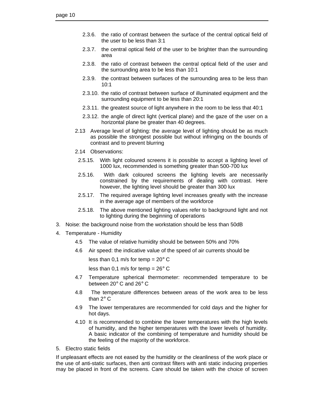- 2.3.6. the ratio of contrast between the surface of the central optical field of the user to be less than 3:1
- 2.3.7. the central optical field of the user to be brighter than the surrounding area
- 2.3.8. the ratio of contrast between the central optical field of the user and the surrounding area to be less than 10:1
- 2.3.9. the contrast between surfaces of the surrounding area to be less than 10:1
- 2.3.10. the ratio of contrast between surface of illuminated equipment and the surrounding equipment to be less than 20:1
- 2.3.11. the greatest source of light anywhere in the room to be less that 40:1
- 2.3.12. the angle of direct light (vertical plane) and the gaze of the user on a horizontal plane be greater than 40 degrees.
- 2.13 Average level of lighting: the average level of lighting should be as much as possible the strongest possible but without infringing on the bounds of contrast and to prevent blurring
- 2.14 Observations:
- 2.5.15. With light coloured screens it is possible to accept a lighting level of 1000 lux, recommended is something greater than 500-700 lux
- 2.5.16. With dark coloured screens the lighting levels are necessarily constrained by the requirements of dealing with contrast. Here however, the lighting level should be greater than 300 lux
- 2.5.17. The required average lighting level increases greatly with the increase in the average age of members of the workforce
- 2.5.18. The above mentioned lighting values refer to background light and not to lighting during the beginning of operations
- 3. Noise: the background noise from the workstation should be less than 50dB
- 4. Temperature Humidity
	- 4.5 The value of relative humidity should be between 50% and 70%
	- 4.6 Air speed: the indicative value of the speed of air currents should be

less than 0,1 m/s for temp =  $20^{\circ}$  C

less than 0,1 m/s for temp =  $26^{\circ}$  C

- 4.7 Temperature spherical thermometer: recommended temperature to be between 20° C and 26° C
- 4.8 The temperature differences between areas of the work area to be less than 2° C
- 4.9 The lower temperatures are recommended for cold days and the higher for hot days.
- 4.10 It is recommended to combine the lower temperatures with the high levels of humidity, and the higher temperatures with the lower levels of humidity. A basic indicator of the combining of temperature and humidity should be the feeling of the majority of the workforce.
- 5. Electro static fields

If unpleasant effects are not eased by the humidity or the cleanliness of the work place or the use of anti-static surfaces, then anti contrast filters with anti static inducing properties may be placed in front of the screens. Care should be taken with the choice of screen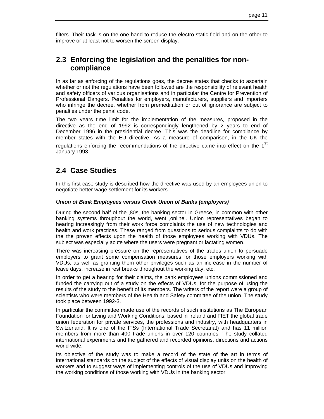filters. Their task is on the one hand to reduce the electro-static field and on the other to improve or at least not to worsen the screen display.

### **2.3 Enforcing the legislation and the penalities for noncompliance**

In as far as enforcing of the regulations goes, the decree states that checks to ascertain whether or not the regulations have been followed are the responsibility of relevant health and safety officers of various organisations and in particular the Centre for Prevention of Professional Dangers. Penalties for employers, manufacturers, suppliers and importers who infringe the decree, whether from premeditation or out of ignorance are subject to penalties under the penal code.

The two years time limit for the implementation of the measures, proposed in the directive as the end of 1992 is correspondingly lengthened by 2 years to end of December 1996 in the presidential decree. This was the deadline for compliance by member states with the EU directive. As a measure of comparison, in the UK the

regulations enforcing the recommendations of the directive came into effect on the 1<sup>st</sup> January 1993.

### **2.4 Case Studies**

In this first case study is described how the directive was used by an employees union to negotiate better wage settlement for its workers.

#### *Union of Bank Employees versus Greek Union of Banks (employers)*

During the second half of the '80s, the banking sector in Greece, in common with other banking systems throughout the world, went ,online'. Union representatives began to hearing increasingly from their work force complaints the use of new technologies and health and work practices. These ranged from questions to serious complaints to do with the the proven effects upon the health of those employees working with VDUs. The subject was especially acute where the users were pregnant or lactating women.

There was increasing pressure on the representatives of the trades union to persuade employers to grant some compensation measures for those employers working with VDUs, as well as granting them other privileges such as an increase in the number of leave days, increase in rest breaks throughout the working day, etc.

In order to get a hearing for their claims, the bank employees unions commissioned and funded the carrying out of a study on the effects of VDUs, for the purpose of using the results of the study to the benefit of its members. The writers of the report were a group of scientists who were members of the Health and Safety committee of the union. The study took place between 1992-3.

In particular the committee made use of the records of such institutions as The European Foundation for Living and Working Conditions, based in Ireland and FIET the global trade union federation for private services, the professions and industry, with headquarters in Switzerland. It is one of the ITSs (International Trade Secretariat) and has 11 million members from more than 400 trade unions in over 120 countries. The study collated international experiments and the gathered and recorded opinions, directions and actions world-wide.

Its objective of the study was to make a record of the state of the art in terms of international standards on the subject of the effects of visual display units on the health of workers and to suggest ways of implementing controls of the use of VDUs and improving the working conditions of those working with VDUs in the banking sector.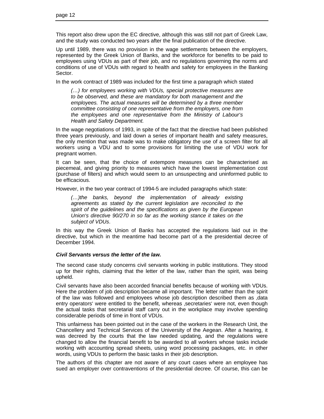This report also drew upon the EC directive, although this was still not part of Greek Law, and the study was conducted two years after the final publication of the directive.

Up until 1989, there was no provision in the wage settlements between the employers, represented by the Greek Union of Banks, and the workforce for benefits to be paid to employees using VDUs as part of their job, and no regulations governing the norms and conditions of use of VDUs with regard to health and safety for employees in the Banking Sector.

In the work contract of 1989 was included for the first time a paragraph which stated

*(…) for employees working with VDUs, special protective measures are to be observed, and these are mandatory for both management and the employees. The actual measures will be determined by a three member committee consisting of one representative from the employers, one from the employees and one representative from the Ministry of Labour's Health and Safety Department.*

In the wage negotiations of 1993, in spite of the fact that the directive had been published three years previously, and laid down a series of important health and safety measures, the only mention that was made was to make obligatory the use of a screen filter for all workers using a VDU and to some provisions for limiting the use of VDU work for pregnant women.

It can be seen, that the choice of extempore measures can be characterised as piecemeal, and giving priority to measures which have the lowest implementation cost (purchase of filters) and which would seem to an unsuspecting and uninformed public to be efficacious.

However, in the two year contract of 1994-5 are included paragraphs which state:

*(…)the banks, beyond the implementation of already existing agreements as stated by the current legislation are reconciled to the spirit of the guidelines and the specifications as given by the European Union's directive 90/270 in so far as the working stance it takes on the subject of VDUs*.

In this way the Greek Union of Banks has accepted the regulations laid out in the directive, but which in the meantime had become part of a the presidential decree of December 1994.

#### *Civil Servants versus the letter of the law.*

The second case study concerns civil servants working in public institutions. They stood up for their rights, claiming that the letter of the law, rather than the spirit, was being upheld.

Civil servants have also been accorded financial benefits because of working with VDUs. Here the problem of job description became all important. The letter rather than the spirit of the law was followed and employees whose job description described them as , data entry operators' were entitled to the benefit, whereas , secretaries' were not, even though the actual tasks that secretarial staff carry out in the workplace may involve spending considerable periods of time in front of VDUs.

This unfairness has been pointed out in the case of the workers in the Research Unit, the Chancellery and Technical Services of the University of the Aegean. After a hearing, it was decreed by the courts that the law needed updating, and the regulations were changed to allow the financial benefit to be awarded to all workers whose tasks include working with accounting spread sheets, using word processing packages, etc. in other words, using VDUs to perform the basic tasks in their job description.

The authors of this chapter are not aware of any court cases where an employee has sued an employer over contraventions of the presidential decree. Of course, this can be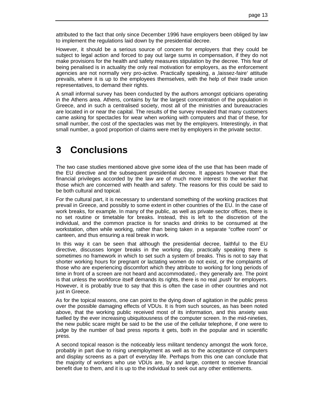attributed to the fact that only since December 1996 have employers been obliged by law to implement the regulations laid down by the presidential decree.

However, it should be a serious source of concern for employers that they could be subject to legal action and forced to pay out large sums in compensation, if they do not make provisions for the health and safety measures stipulation by the decree. This fear of being penalised is in actuality the only real motivation for employers, as the enforcement agencies are not normally very pro-active. Practically speaking, a , laissez-faire' attitude prevails, where it is up to the employees themselves, with the help of their trade union representatives, to demand their rights.

A small informal survey has been conducted by the authors amongst opticians operating in the Athens area. Athens, contains by far the largest concentration of the population in Greece, and in such a centralised society, most all of the ministries and bureaucracies are located in or near the capital. The results of the survey revealed that many customers came asking for spectacles for wear when working with computers and that of these, for small number, the cost of the spectacles was met by the employers. Interestingly, in that small number, a good proportion of claims were met by employers in the private sector.

## **3 Conclusions**

The two case studies mentioned above give some idea of the use that has been made of the EU directive and the subsequent presidential decree. It appears however that the financial privileges accorded by the law are of much more interest to the worker that those which are concerned with health and safety. The reasons for this could be said to be both cultural and topical.

For the cultural part, it is necessary to understand something of the working practices that prevail in Greece, and possibly to some extent in other countries of the EU. In the case of work breaks, for example. In many of the public, as well as private sector offices, there is no set routine or timetable for breaks. Instead, this is left to the discretion of the individual, and the common practice is for snacks and drinks to be consumed at the workstation, often while working, rather than being taken in a separate "coffee room" or canteen, and thus ensuring a real break in work.

In this way it can be seen that although the presidential decree, faithful to the EU directive, discusses longer breaks in the working day, practically speaking there is sometimes no framework in which to set such a system of breaks. This is not to say that shorter working hours for pregnant or lactating women do not exist, or the complaints of those who are experiencing discomfort which they attribute to working for long periods of time in front of a screen are not heard and accommodated,- they generally are. The point is that unless the workforce itself demands its rights, there is no real , push ' for employers. However, it is probably true to say that this is often the case in other countries and not just in Greece.

As for the topical reasons, one can point to the dying down of agitation in the public press over the possible damaging effects of VDUs. It is from such sources, as has been noted above, that the working public received most of its information, and this anxiety was fuelled by the ever increasing ubiquitousness of the computer screen. In the mid-nineties, the new public scare might be said to be the use of the cellular telephone, if one were to judge by the number of bad press reports it gets, both in the popular and in scientific press.

A second topical reason is the noticeably less militant tendency amongst the work force, probably in part due to rising unemployment as well as to the acceptance of computers and display screens as a part of everyday life. Perhaps from this one can conclude that the majority of workers who use VDUs are, by and large, content to receive financial benefit due to them, and it is up to the individual to seek out any other entitlements.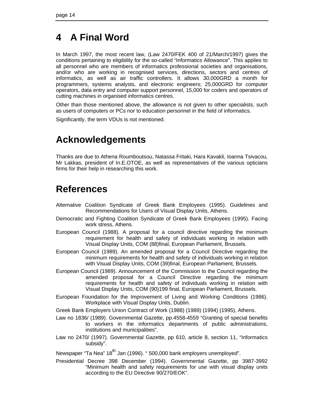## **4 A Final Word**

In March 1997, the most recent law, (Law 2470/FEK 400 of 21/March/1997) gives the conditions pertaining to eligibility for the so-called "Informatics Allowance". This applies to all personnel who are members of informatics professional societies and organisations, and/or who are working in recognised services, directions, sectors and centres of informatics, as well as air traffic controllers. It allows 30,000GRD a month for programmers, systems analysts, and electronic engineers; 25,000GRD for computer operators, data entry and computer support personnel, 15,000 for coders and operators of cutting machines in organised informatics centres.

Other than those mentioned above, the allowance is not given to other specialists, such as users of computers or PCs nor to education personnel in the field of informatics.

Significantly, the term VDUs is not mentioned.

## **Acknowledgements**

Thanks are due to Athena Roumboutsou, Natassa Fritaki, Hara Kavakli, Ioanna Tsivacou, Mr Lakkas, president of In.E.OTOE, as well as representatives of the various opticians firms for their help in researching this work.

## **References**

- Alternative Coalition Syndicate of Greek Bank Employees (1995). Guidelines and Recommendations for Users of Visual Display Units, Athens.
- Democratic and Fighting Coalition Syndicate of Greek Bank Employees (1995). Facing work stress, Athens.
- European Council (1988). A proposal for a council directive regarding the minimum requirement for health and safety of individuals working in relation with Visual Display Units, COM (88)final, European Parliament, Brussels.
- European Council (1989). An amended proposal for a Council Directive regarding the minimum requirements for health and safety of individuals working in relation with Visual Display Units, COM (39)final, European Parliament, Brussels.
- European Council (1989). Announcement of the Commission to the Council regarding the amended proposal for a Council Directive regarding the minimum requirements for health and safety of individuals working in relation with Visual Display Units, COM (90)199 final, European Parliament, Brussels.
- European Foundation for the Improvement of Living and Working Conditions (1986). Workplace with Visual Display Units, Dublin.

Greek Bank Employers Union Contract of Work (1988) (1989) (1994) (1995), Athens.

- Law no 1836/ (1989). Governmental Gazette, pp.4558-4559 "Granting of special benefits to workers in the informatics departments of public administrations, institutions and municipalities".
- Law no 2470/ (1997). Governmental Gazette, pp 610, article 8, section 11, "Informatics subsidy".

Newspaper "Ta Nea" 18<sup>th</sup> Jan (1996). " 500,000 bank employers unemployed".

Presidential Decree 398 December (1994). Governmental Gazette, pp 3987-3992 "Minimum health and safety requirements for use with visual display units according to the EU Directive 90/270/EOK".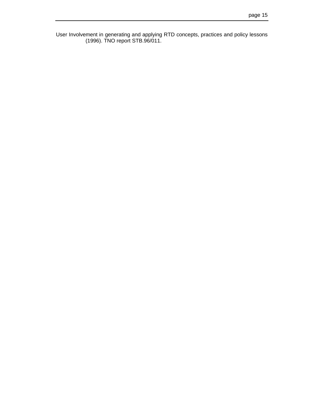User Involvement in generating and applying RTD concepts, practices and policy lessons (1996). TNO report STB.96/011.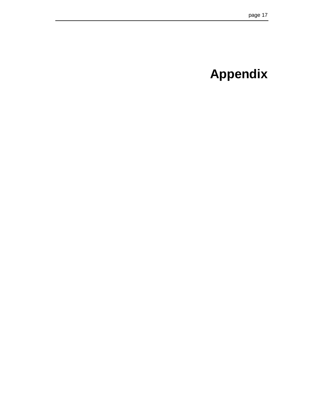# **Appendix**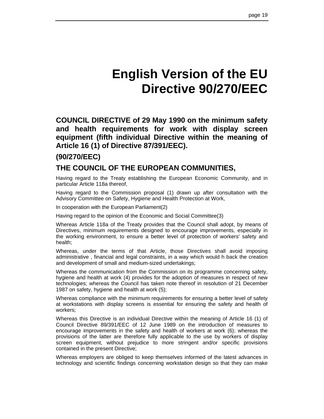# **English Version of the EU Directive 90/270/EEC**

**COUNCIL DIRECTIVE of 29 May 1990 on the minimum safety and health requirements for work with display screen equipment (fifth individual Directive within the meaning of Article 16 (1) of Directive 87/391/EEC).**

### **(90/270/EEC)**

### **THE COUNCIL OF THE EUROPEAN COMMUNITIES,**

Having regard to the Treaty establishing the European Economic Community, and in particular Article 118a thereof,

Having regard to the Commission proposal (1) drawn up after consultation with the Advisory Committee on Safety, Hygiene and Health Protection at Work,

In cooperation with the European Parliament(2)

Having regard to the opinion of the Economic and Social Committee(3)

Whereas Article 118a of the Treaty provides that the Council shall adopt, by means of Directives, minimum requirements designed to encourage improvements, especially in the working environment, to ensure a better level of protection of workers' safety and health;

Whereas, under the terms of that Article, those Directives shall avoid imposing administrative , financial and legal constraints, in a way which would h back the creation and development of small and medium-sized undertakings;

Whereas the communication from the Commission on its programme concerning safety, hygiene and health at work (4) provides for the adoption of measures in respect of new technologies; whereas the Council has taken note thereof in resolution of 21 December 1987 on safety, hygiene and health at work (5);

Whereas compliance with the minimum requirements for ensuring a better level of safety at workstations with display screens is essential for ensuring the safety and health of workers;

Whereas this Directive is an individual Directive within the meaning of Article 16 (1) of Council Directive 89/391/EEC of 12 June 1989 on the introduction of measures to encourage improvements in the safety and health of workers at work (6); whereas the provisions of the latter are therefore fully applicable to the use by workers of display screen equipment, without prejudice to more stringent and/or specific provisions contained in the present Directive;

Whereas employers are obliged to keep themselves informed of the latest advances in technology and scientific findings concerning workstation design so that they can make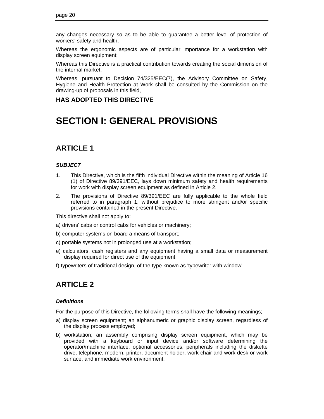any changes necessary so as to be able to guarantee a better level of protection of workers' safety and health;

Whereas the ergonomic aspects are of particular importance for a workstation with display screen equipment;

Whereas this Directive is a practical contribution towards creating the social dimension of the internal market;

Whereas, pursuant to Decision 74/325/EEC(7), the Advisory Committee on Safety, Hygiene and Health Protection at Work shall be consulted by the Commission on the drawing-up of proposals in this field,

#### **HAS ADOPTED THIS DIRECTIVE**

## **SECTION I: GENERAL PROVISIONS**

## **ARTICLE 1**

#### *SUBJECT*

- 1. This Directive, which is the fifth individual Directive within the meaning of Article 16 (1) of Directive 89/391/EEC, lays down minimum safety and health requirements for work with display screen equipment as defined in Article 2.
- 2. The provisions of Directive 89/391/EEC are fully applicable to the whole field referred to in paragraph 1, without prejudice to more stringent and/or specific provisions contained in the present Directive.

This directive shall not apply to:

- a) drivers' cabs or control cabs for vehicles or machinery;
- b) computer systems on board a means of transport;
- c) portable systems not in prolonged use at a workstation;
- e) calculators, cash registers and any equipment having a small data or measurement display required for direct use of the equipment;
- f) typewriters of traditional design, of the type known as 'typewriter with window'

## **ARTICLE 2**

#### *Definitions*

For the purpose of this Directive, the following terms shall have the following meanings;

- a) display screen equipment; an alphanumeric or graphic display screen, regardless of the display process employed;
- b) workstation; an assembly comprising display screen equipment, which may be provided with a keyboard or input device and/or software determining the operator/machine interface, optional accessories, peripherals including the diskette drive, telephone, modern, printer, document holder, work chair and work desk or work surface, and immediate work environment;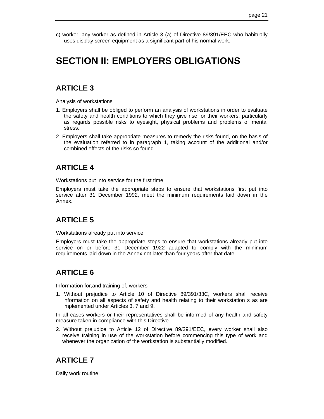c) worker; any worker as defined in Article 3 (a) of Directive 89/391/EEC who habitually uses display screen equipment as a significant part of his normal work.

## **SECTION II: EMPLOYERS OBLIGATIONS**

## **ARTICLE 3**

Analysis of workstations

- 1. Employers shall be obliged to perform an analysis of workstations in order to evaluate the safety and health conditions to which they give rise for their workers, particularly as regards possible risks to eyesight, physical problems and problems of mental stress.
- 2. Employers shall take appropriate measures to remedy the risks found, on the basis of the evaluation referred to in paragraph 1, taking account of the additional and/or combined effects of the risks so found.

### **ARTICLE 4**

Workstations put into service for the first time

Employers must take the appropriate steps to ensure that workstations first put into service after 31 December 1992, meet the minimum requirements laid down in the Annex.

## **ARTICLE 5**

Workstations already put into service

Employers must take the appropriate steps to ensure that workstations already put into service on or before 31 December 1922 adapted to comply with the minimum requirements laid down in the Annex not later than four years after that date.

## **ARTICLE 6**

Information for,and training of, workers

1. Without prejudice to Article 10 of Directive 89/391/33C, workers shall receive information on all aspects of safety and health relating to their workstation s as are implemented under Articles 3, 7 and 9.

In all cases workers or their representatives shall be informed of any health and safety measure taken in compliance with this Directive.

2. Without prejudice to Article 12 of Directive 89/391/EEC, every worker shall also receive training in use of the workstation before commencing this type of work and whenever the organization of the workstation is substantially modified.

## **ARTICLE 7**

Daily work routine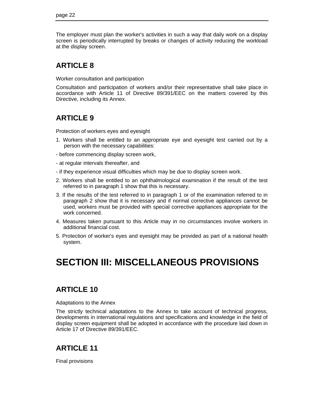The employer must plan the worker's activities in such a way that daily work on a display screen is periodically interrupted by breaks or changes of activity reducing the workload at the display screen.

## **ARTICLE 8**

Worker consultation and participation

Consultation and participation of workers and/or their representative shall take place in accordance with Article 11 of Directive 89/391/EEC on the matters covered by this Directive, including its Annex.

## **ARTICLE 9**

Protection of workers eyes and eyesight

- 1. Workers shall be entitled to an appropriate eye and eyesight test carried out by a person with the necessary capabilities:
- before commencing display screen work,
- at regular intervals thereafter, and
- if they experience visual difficulties which may be due to display screen work.
- 2. Workers shall be entitled to an ophthalmological examination if the result of the test referred to in paragraph 1 show that this is necessary.
- 3. If the results of the test referred to in paragraph 1 or of the examination referred to in paragraph 2 show that it is necessary and if normal corrective appliances cannot be used, workers must be provided with special corrective appliances appropriate for the work concerned.
- 4. Measures taken pursuant to this Article may in no circumstances involve workers in additional financial cost.
- 5. Protection of worker's eyes and eyesight may be provided as part of a national health system.

## **SECTION III: MISCELLANEOUS PROVISIONS**

## **ARTICLE 10**

Adaptations to the Annex

The strictly technical adaptations to the Annex to take account of technical progress, developments in international regulations and specifications and knowledge in the field of display screen equipment shall be adopted in accordance with the procedure laid down in Article 17 of Directive 89/391/EEC.

## **ARTICLE 11**

Final provisions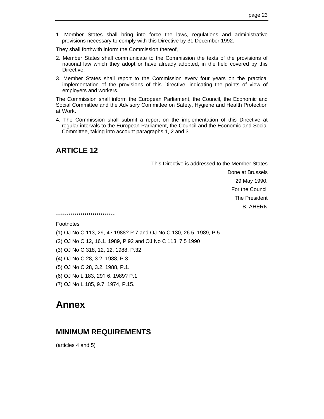1. Member States shall bring into force the laws, regulations and administrative provisions necessary to comply with this Directive by 31 December 1992.

They shall forthwith inform the Commission thereof,

- 2. Member States shall communicate to the Commission the texts of the provisions of national law which they adopt or have already adopted, in the field covered by this Directive.
- 3. Member States shall report to the Commission every four years on the practical implementation of the provisions of this Directive, indicating the points of view of employers and workers.

The Commission shall inform the European Parliament, the Council, the Economic and Social Committee and the Advisory Committee on Safety, Hygiene and Health Protection at Work.

4. The Commission shall submit a report on the implementation of this Directive at regular intervals to the European Parliament, the Council and the Economic and Social Committee, taking into account paragraphs 1, 2 and 3.

### **ARTICLE 12**

This Directive is addressed to the Member States Done at Brussels 29 May 1990. For the Council The President B. AHERN

\*\*\*\*\*\*\*\*\*\*\*\*\*\*\*\*\*\*\*\*\*\*\*\*\*\*\*\*\*

Footnotes

(1) OJ No C 113, 29, 4? 1988? P.7 and OJ No C 130, 26.5. 1989, P.5

(2) OJ No C 12, 16.1. 1989, P.92 and OJ No C 113, 7.5 1990

(3) OJ No C 318, 12, 12, 1988, P.32

(4) OJ No C 28, 3.2. 1988, P.3

(5) OJ No C 28, 3.2. 1988, P.1.

(6) OJ No L 183, 29? 6. 1989? P.1

(7) OJ No L 185, 9.7. 1974, P.15.

## **Annex**

#### **MINIMUM REQUIREMENTS**

(articles 4 and 5)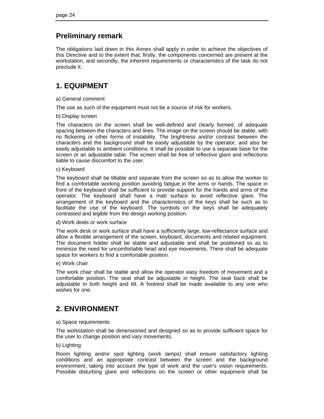## **Preliminary remark**

The obligations laid down in this Annex shall apply in order to achieve the objectives of this Directive and to the extent that, firstly, the components concerned are present at the workstation, and secondly, the inherent requirements or characteristics of the task do not preclude it.

## **1. EQUIPMENT**

a) General comment

The use as such of the equipment must not be a source of risk for workers.

b) Display screen

The characters on the screen shall be well-defined and clearly formed, of adequate spacing between the characters and lines. The image on the screen should be stable, with no flickering or other forms of instability. The brightness and/or contrast between the characters and the background shall be easily adjustable by the operator, and also be easily adjustable to ambient conditions. It shall be possible to use a separate base for the screen or an adjustable table. The screen shall be free of reflective glare and reflections liable to cause discomfort to the user.

#### c) Keyboard

The keyboard shall be tiltable and separate from the screen so as to allow the worker to find a comfortable working position avoiding fatigue in the arms or hands. The space in front of the keyboard shall be sufficient to provide support for the hands and arms of the operator. The keyboard shall have a matt surface to avoid reflective glare. The arrangement of the keyboard and the characteristics of the keys shall be such as to facilitate the use of the keyboard. The symbols on the keys shall be adequately contrasted and legible from the design working position.

#### d) Work deals or work surface

The work desk or work surface shall have a sufficiently large, low-reflectance surface and allow a flexible arrangement of the screen, keyboard, documents and related equipment. The document holder shall be stable and adjustable and shall be positioned so as to minimize the need for uncomfortable head and eye movements. There shall be adequate space for workers to find a comfortable position.

#### e) Work chair

The work chair shall be stable and allow the operator easy freedom of movement and a comfortable position. The seat shall be adjustable in height. The seat back shall be adjustable in both height and tilt. A footrest shall be made available to any one who wishes for one.

## **2. ENVIRONMENT**

#### a) Space requirements

The workstation shall be dimensioned and designed so as to provide sufficient space for the user to change position and vary movements.

#### b) Lighting

Room lighting and/or spot lighting (work lamps) shall ensure satisfactory lighting conditions and an appropriate contrast between the screen and the background environment, taking into account the type of work and the user's vision requirements. Possible disturbing glare and reflections on the screen or other equipment shall be